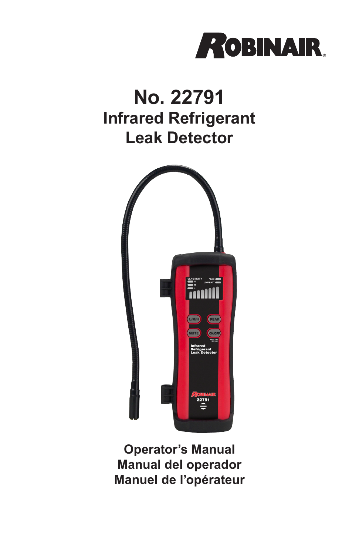

# **No. 22791 Infrared Refrigerant Leak Detector**



**Operator's Manual Manual del operador Manuel de l'opérateur**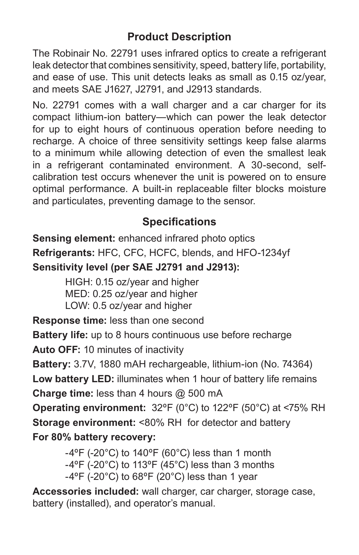# **Product Description**

The Robinair No. 22791 uses infrared optics to create a refrigerant leak detector that combines sensitivity, speed, battery life, portability, and ease of use. This unit detects leaks as small as 0.15 oz/year, and meets SAE J1627, J2791, and J2913 standards.

No. 22791 comes with a wall charger and a car charger for its compact lithium-ion battery—which can power the leak detector for up to eight hours of continuous operation before needing to recharge. A choice of three sensitivity settings keep false alarms to a minimum while allowing detection of even the smallest leak in a refrigerant contaminated environment. A 30-second, selfcalibration test occurs whenever the unit is powered on to ensure optimal performance. A built-in replaceable filter blocks moisture and particulates, preventing damage to the sensor.

# **Specifications**

**Sensing element:** enhanced infrared photo optics **Refrigerants:** HFC, CFC, HCFC, blends, and HFO-1234yf **Sensitivity level (per SAE J2791 and J2913):**

> HIGH: 0.15 oz/year and higher MED: 0.25 oz/year and higher LOW: 0.5 oz/year and higher

**Response time:** less than one second

**Battery life:** up to 8 hours continuous use before recharge

**Auto OFF:** 10 minutes of inactivity

**Battery:** 3.7V, 1880 mAH rechargeable, lithium-ion (No. 74364) **Low battery LED:** illuminates when 1 hour of battery life remains **Charge time:** less than 4 hours @ 500 mA

**Operating environment:** 32ºF (0°C) to 122ºF (50°C) at <75% RH **Storage environment:** <80% RH for detector and battery **For 80% battery recovery:**

> $-4^{\circ}$ F (-20 $^{\circ}$ C) to 140 $^{\circ}$ F (60 $^{\circ}$ C) less than 1 month -4ºF (-20°C) to 113ºF (45°C) less than 3 months  $-4^{\circ}$ F (-20 $^{\circ}$ C) to 68 $^{\circ}$ F (20 $^{\circ}$ C) less than 1 year

**Accessories included:** wall charger, car charger, storage case, battery (installed), and operator's manual.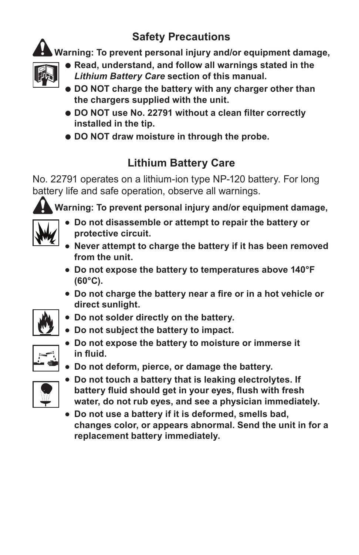# **Safety Precautions**

**Warning: To prevent personal injury and/or equipment damage,**



- **e** Read, understand, and follow all warnings stated in the *Lithium Battery Care* **section of this manual.**
- **DO NOT charge the battery with any charger other than the chargers supplied with the unit.**
- l **DO NOT use No. 22791 without a clean filter correctly installed in the tip.**
- **DO NOT draw moisture in through the probe.**

# **Lithium Battery Care**

No. 22791 operates on a lithium-ion type NP-120 battery. For long battery life and safe operation, observe all warnings.

**Warning: To prevent personal injury and/or equipment damage,**



- **.** Do not disassemble or attempt to repair the battery or **protective circuit.**
- **Never attempt to charge the battery if it has been removed from the unit.**
- **Do not expose the battery to temperatures above 140°F (60°C).**
- <sup>l</sup> **Do not charge the battery near a fire or in a hot vehicle or direct sunlight.**
- **Do not solder directly on the battery.**
- **Do not subject the battery to impact.**
- **Do not expose the battery to moisture or immerse it in fluid.**
- **Do not deform, pierce, or damage the battery.**



- **Do not touch a battery that is leaking electrolytes. If battery fluid should get in your eyes, flush with fresh water, do not rub eyes, and see a physician immediately.**
- **Do not use a battery if it is deformed, smells bad, changes color, or appears abnormal. Send the unit in for a replacement battery immediately.**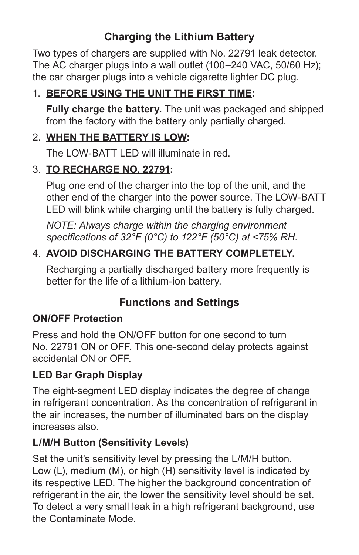# **Charging the Lithium Battery**

Two types of chargers are supplied with No. 22791 leak detector. The AC charger plugs into a wall outlet (100–240 VAC, 50/60 Hz); the car charger plugs into a vehicle cigarette lighter DC plug.

## 1. **BEFORE USING THE UNIT THE FIRST TIME:**

**Fully charge the battery.** The unit was packaged and shipped from the factory with the battery only partially charged.

#### 2. **WHEN THE BATTERY IS LOW:**

The LOW-BATT LED will illuminate in red.

#### 3. **TO RECHARGE NO. 22791:**

Plug one end of the charger into the top of the unit, and the other end of the charger into the power source. The LOW-BATT LED will blink while charging until the battery is fully charged.

*NOTE: Always charge within the charging environment specifications of 32°F (0°C) to 122°F (50°C) at <75% RH.*

## 4. **AVOID DISCHARGING THE BATTERY COMPLETELY.**

Recharging a partially discharged battery more frequently is better for the life of a lithium-ion battery.

## **Functions and Settings**

#### **ON/OFF Protection**

Press and hold the ON/OFF button for one second to turn No. 22791 ON or OFF. This one-second delay protects against accidental ON or OFF.

#### **LED Bar Graph Display**

The eight-segment LED display indicates the degree of change in refrigerant concentration. As the concentration of refrigerant in the air increases, the number of illuminated bars on the display increases also.

#### **L/M/H Button (Sensitivity Levels)**

Set the unit's sensitivity level by pressing the L/M/H button. Low (L), medium (M), or high (H) sensitivity level is indicated by its respective LED. The higher the background concentration of refrigerant in the air, the lower the sensitivity level should be set. To detect a very small leak in a high refrigerant background, use the Contaminate Mode.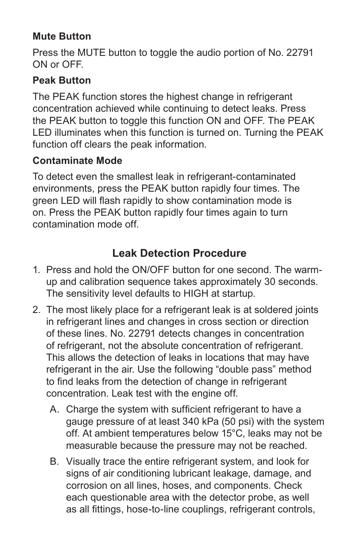#### **Mute Button**

Press the MUTE button to toggle the audio portion of No. 22791 ON or OFF.

#### **Peak Button**

The PEAK function stores the highest change in refrigerant concentration achieved while continuing to detect leaks. Press the PEAK button to toggle this function ON and OFF. The PEAK LED illuminates when this function is turned on. Turning the PEAK function off clears the peak information.

#### **Contaminate Mode**

To detect even the smallest leak in refrigerant-contaminated environments, press the PEAK button rapidly four times. The green LED will flash rapidly to show contamination mode is on. Press the PEAK button rapidly four times again to turn contamination mode off.

# **Leak Detection Procedure**

- 1. Press and hold the ON/OFF button for one second. The warmup and calibration sequence takes approximately 30 seconds. The sensitivity level defaults to HIGH at startup.
- 2. The most likely place for a refrigerant leak is at soldered joints in refrigerant lines and changes in cross section or direction of these lines. No. 22791 detects changes in concentration of refrigerant, not the absolute concentration of refrigerant. This allows the detection of leaks in locations that may have refrigerant in the air. Use the following "double pass" method to find leaks from the detection of change in refrigerant concentration. Leak test with the engine off.
	- A. Charge the system with sufficient refrigerant to have a gauge pressure of at least 340 kPa (50 psi) with the system off. At ambient temperatures below 15°C, leaks may not be measurable because the pressure may not be reached.
	- B. Visually trace the entire refrigerant system, and look for signs of air conditioning lubricant leakage, damage, and corrosion on all lines, hoses, and components. Check each questionable area with the detector probe, as well as all fittings, hose-to-line couplings, refrigerant controls,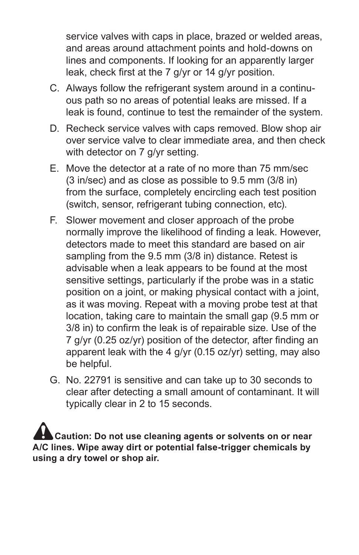service valves with caps in place, brazed or welded areas, and areas around attachment points and hold-downs on lines and components. If looking for an apparently larger leak, check first at the 7 g/yr or 14 g/yr position.

- C. Always follow the refrigerant system around in a continuous path so no areas of potential leaks are missed. If a leak is found, continue to test the remainder of the system.
- D. Recheck service valves with caps removed. Blow shop air over service valve to clear immediate area, and then check with detector on 7 g/yr setting.
- E. Move the detector at a rate of no more than 75 mm/sec (3 in/sec) and as close as possible to 9.5 mm (3/8 in) from the surface, completely encircling each test position (switch, sensor, refrigerant tubing connection, etc).
- F. Slower movement and closer approach of the probe normally improve the likelihood of finding a leak. However, detectors made to meet this standard are based on air sampling from the 9.5 mm (3/8 in) distance. Retest is advisable when a leak appears to be found at the most sensitive settings, particularly if the probe was in a static position on a joint, or making physical contact with a joint, as it was moving. Repeat with a moving probe test at that location, taking care to maintain the small gap (9.5 mm or 3/8 in) to confirm the leak is of repairable size. Use of the 7 g/yr (0.25 oz/yr) position of the detector, after finding an apparent leak with the 4 g/yr (0.15 oz/yr) setting, may also be helpful.
- G. No. 22791 is sensitive and can take up to 30 seconds to clear after detecting a small amount of contaminant. It will typically clear in 2 to 15 seconds.

 **Caution: Do not use cleaning agents or solvents on or near A/C lines. Wipe away dirt or potential false-trigger chemicals by using a dry towel or shop air.**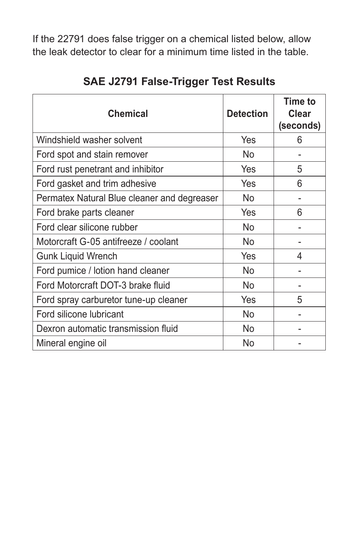If the 22791 does false trigger on a chemical listed below, allow the leak detector to clear for a minimum time listed in the table.

| <b>Chemical</b>                             | <b>Detection</b> | Time to<br>Clear<br>(seconds) |
|---------------------------------------------|------------------|-------------------------------|
| Windshield washer solvent                   | Yes              | 6                             |
| Ford spot and stain remover                 | No               |                               |
| Ford rust penetrant and inhibitor           | Yes              | 5                             |
| Ford gasket and trim adhesive               | Yes              | 6                             |
| Permatex Natural Blue cleaner and degreaser | No               |                               |
| Ford brake parts cleaner                    | Yes              | 6                             |
| Ford clear silicone rubber                  | No.              |                               |
| Motorcraft G-05 antifreeze / coolant        | No               |                               |
| <b>Gunk Liquid Wrench</b>                   | Yes              | 4                             |
| Ford pumice / lotion hand cleaner           | No               |                               |
| Ford Motorcraft DOT-3 brake fluid           | No               |                               |
| Ford spray carburetor tune-up cleaner       | Yes              | 5                             |
| Ford silicone lubricant                     | No               |                               |
| Dexron automatic transmission fluid         | No               |                               |
| Mineral engine oil                          | No               |                               |

**SAE J2791 False-Trigger Test Results**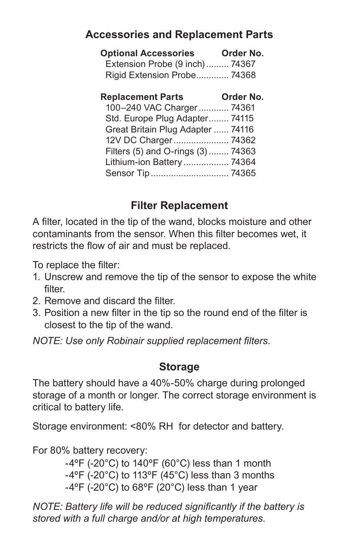## **Accessories and Replacement Parts**

| <b>Optional Accessories</b>     | Order No. |
|---------------------------------|-----------|
| Extension Probe (9 inch)  74367 |           |
| Rigid Extension Probe 74368     |           |

| <b>Replacement Parts</b>           | Order No. |
|------------------------------------|-----------|
| 100-240 VAC Charger  74361         |           |
| Std. Europe Plug Adapter 74115     |           |
| Great Britain Plug Adapter  74116  |           |
| 12V DC Charger 74362               |           |
| Filters (5) and O-rings (3)  74363 |           |
| Lithium-ion Battery  74364         |           |
|                                    |           |
|                                    |           |

## **Filter Replacement**

A filter, located in the tip of the wand, blocks moisture and other contaminants from the sensor. When this filter becomes wet, it restricts the flow of air and must be replaced.

To replace the filter:

- 1. Unscrew and remove the tip of the sensor to expose the white filter.
- 2. Remove and discard the filter.
- 3. Position a new filter in the tip so the round end of the filter is closest to the tip of the wand.

*NOTE: Use only Robinair supplied replacement filters.*

#### **Storage**

The battery should have a 40%-50% charge during prolonged storage of a month or longer. The correct storage environment is critical to battery life.

Storage environment: <80% RH for detector and battery.

For 80% battery recovery:

 $-4^{\circ}$ F (-20 $^{\circ}$ C) to 140 $^{\circ}$ F (60 $^{\circ}$ C) less than 1 month  $-4^{\circ}$ F (-20 $^{\circ}$ C) to 113 $^{\circ}$ F (45 $^{\circ}$ C) less than 3 months  $-4^{\circ}$ F (-20 $^{\circ}$ C) to 68 $^{\circ}$ F (20 $^{\circ}$ C) less than 1 year

*NOTE: Battery life will be reduced significantly if the battery is stored with a full charge and/or at high temperatures.*